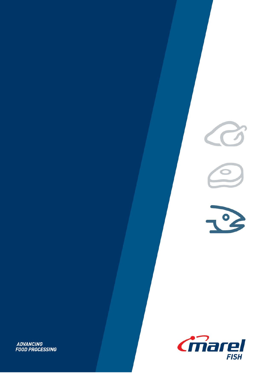



 $R^2$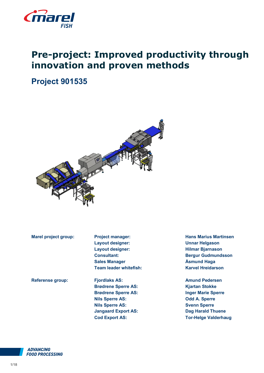

# **Pre-project: Improved productivity through innovation and proven methods**

# **Project 901535**



**Marel project group:** Project manager: **Hans Marius Martinsen Layout designer: Unnar Helgason Layout designer: Hilmar Bjarnason Consultant: Bergur Gudmundsson Sales Manager Åsmund Haga Team leader whitefish: Karvel Hreidarson** 

**Referense group: Fjordlaks AS: Amund Pedersen Brødrene Sperre AS: Kjartan Stokke Brødrene Sperre AS: Inger Marie Sperre Nils Sperre AS: Odd A. Sperre Nils Sperre AS: Svenn Sperre Jangaard Export AS: Dag Harald Thuene**

**Cod Export AS: Tor-Helge Valderhaug**

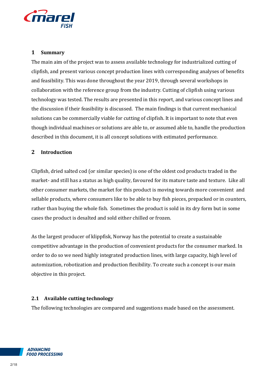

#### **1 Summary**

The main aim of the project was to assess available technology for industrialized cutting of clipfish, and present various concept production lines with corresponding analyses of benefits and feasibility. This was done throughout the year 2019, through several workshops in collaboration with the reference group from the industry. Cutting of clipfish using various technology was tested. The results are presented in this report, and various concept lines and the discussion if their feasibility is discussed. The main findings is that current mechanical solutions can be commercially viable for cutting of clipfish. It is important to note that even though individual machines or solutions are able to, or assumed able to, handle the production described in this document, it is all concept solutions with estimated performance.

## **2 Introduction**

Clipfish, dried salted cod (or similar species) is one of the oldest cod products traded in the market- and still has a status as high quality, favoured for its mature taste and texture. Like all other consumer markets, the market for this product is moving towards more convenient and sellable products, where consumers like to be able to buy fish pieces, prepacked or in counters, rather than buying the whole fish. Sometimes the product is sold in its dry form but in some cases the product is desalted and sold either chilled or frozen.

As the largest producer of klippfisk, Norway has the potential to create a sustainable competitive advantage in the production of convenient products for the consumer marked. In order to do so we need highly integrated production lines, with large capacity, high level of automization, robotization and production flexibility. To create such a concept is our main objective in this project.

#### **2.1 Available cutting technology**

The following technologies are compared and suggestions made based on the assessment.

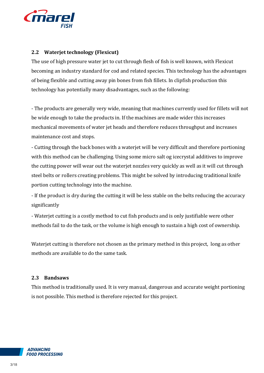

# **2.2 Waterjet technology (Flexicut)**

The use of high pressure water jet to cut through flesh of fish is well known, with Flexicut becoming an industry standard for cod and related species. This technology has the advantages of being flexible and cutting away pin bones from fish fillets. In clipfish production this technology has potentially many disadvantages, such as the following:

- The products are generally very wide, meaning that machines currently used for fillets will not be wide enough to take the products in. If the machines are made wider this increases mechanical movements of water jet heads and therefore reduces throughput and increases maintenance cost and stops.

- Cutting through the back bones with a waterjet will be very difficult and therefore portioning with this method can be challenging. Using some micro salt og icecrystal additives to improve the cutting power will wear out the waterjet nozzles very quickly as well as it will cut through steel belts or rollers creating problems. This might be solved by introducing traditional knife portion cutting technology into the machine.

- If the product is dry during the cutting it will be less stable on the belts reducing the accuracy significantly

- Waterjet cutting is a costly method to cut fish products and is only justifiable were other methods fail to do the task, or the volume is high enough to sustain a high cost of ownership.

Waterjet cutting is therefore not chosen as the primary method in this project, long as other methods are available to do the same task.

#### **2.3 Bandsaws**

This method is traditionally used. It is very manual, dangerous and accurate weight portioning is not possible. This method is therefore rejected for this project.

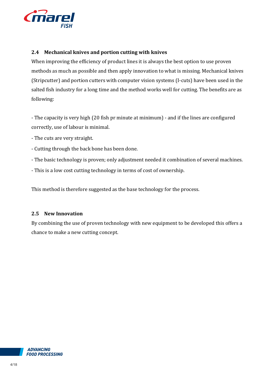

### **2.4 Mechanical knives and portion cutting with knives**

When improving the efficiency of product lines it is always the best option to use proven methods as much as possible and then apply innovation to what is missing. Mechanical knives (Stripcutter) and portion cutters with computer vision systems (I-cuts) have been used in the salted fish industry for a long time and the method works well for cutting. The benefits are as following:

- The capacity is very high (20 fish pr minute at minimum) - and if the lines are configured correctly, use of labour is minimal.

- The cuts are very straight.
- Cutting through the back bone has been done.
- The basic technology is proven; only adjustment needed it combination of several machines.
- This is a low cost cutting technology in terms of cost of ownership.

This method is therefore suggested as the base technology for the process.

#### **2.5 New Innovation**

By combining the use of proven technology with new equipment to be developed this offers a chance to make a new cutting concept.

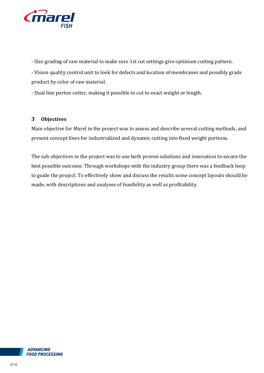

- Size grading of raw material to make sure 1st cut settings give optimum cutting pattern.

- Vision quality control unit to look for defects and location of membranes and possibly grade product by color of raw material.

- Dual line porton cutter, making it possible to cut to exact weight or length.

# **3 Objectives**

Main objective for Marel in the project was to assess and describe several cutting methods, and present concept lines for industrialized and dynamic cutting into fixed weight portions.

The sub objectives in the project was to use both proven solutions and innovation to secure the best possible outcome. Through workshops with the industry group there was a feedback loop to guide the project. To effectively show and discuss the results some concept layouts should be made, with descriptions and analyses of feasibility as well as profitability.

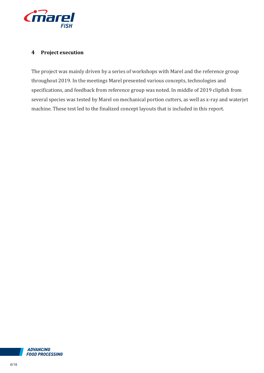

#### **4 Project execution**

The project was mainly driven by a series of workshops with Marel and the reference group throughout 2019. In the meetings Marel presented various concepts, technologies and specifications, and feedback from reference group was noted. In middle of 2019 clipfish from several species was tested by Marel on mechanical portion cutters, as well as x-ray and waterjet machine. These test led to the finalized concept layouts that is included in this report.

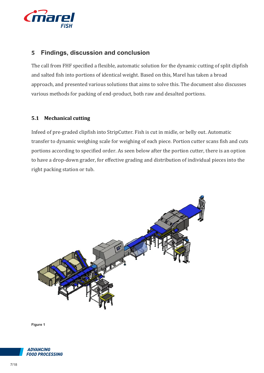

# **5 Findings, discussion and conclusion**

The call from FHF specified a flexible, automatic solution for the dynamic cutting of split clipfish and salted fish into portions of identical weight. Based on this, Marel has taken a broad approach, and presented various solutions that aims to solve this. The document also discusses various methods for packing of end-product, both raw and desalted portions.

## **5.1 Mechanical cutting**

Infeed of pre-graded clipfish into StripCutter. Fish is cut in midle, or belly out. Automatic transfer to dynamic weighing scale for weighing of each piece. Portion cutter scans fish and cuts portions according to specified order. As seen below after the portion cutter, there is an option to have a drop-down grader, for effective grading and distribution of individual pieces into the right packing station or tub.



**Figure 1**

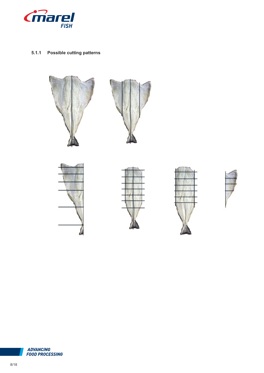

#### **5.1.1 Possible cutting patterns**



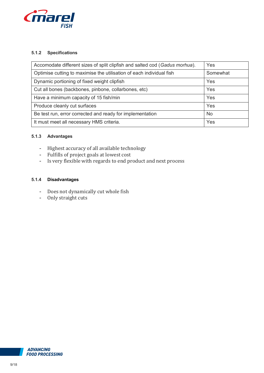

#### **5.1.2 Specifications**

| Accomodate different sizes of split clipfish and salted cod (Gadus morhua). | Yes       |  |
|-----------------------------------------------------------------------------|-----------|--|
| Optimise cutting to maximise the utilisation of each individual fish        | Somewhat  |  |
| Dynamic portioning of fixed weight clipfish                                 | Yes       |  |
| Cut all bones (backbones, pinbone, collarbones, etc)                        | Yes       |  |
| Have a minimum capacity of 15 fish/min                                      | Yes       |  |
| Produce cleanly cut surfaces                                                | Yes       |  |
| Be test run, error corrected and ready for implementation                   | <b>No</b> |  |
| It must meet all necessary HMS criteria.                                    | Yes       |  |

#### **5.1.3 Advantages**

- Highest accuracy of all available technology
- Fulfills of project goals at lowest cost
- Is very flexible with regards to end product and next process

#### **5.1.4 Disadvantages**

- Does not dynamically cut whole fish
- Only straight cuts

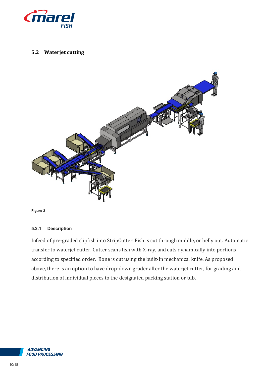

#### **5.2 Waterjet cutting**



**Figure 2**

#### **5.2.1 Description**

Infeed of pre-graded clipfish into StripCutter. Fish is cut through middle, or belly out. Automatic transfer to waterjet cutter. Cutter scans fish with X-ray, and cuts dynamically into portions according to specified order. Bone is cut using the built-in mechanical knife. As proposed above, there is an option to have drop-down grader after the waterjet cutter, for grading and distribution of individual pieces to the designated packing station or tub.

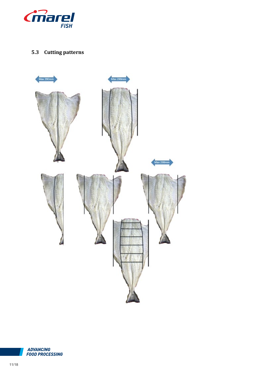

# **5.3 Cutting patterns**



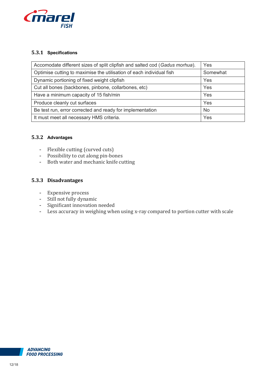

#### **5.3.1 Specifications**

| Accomodate different sizes of split clipfish and salted cod (Gadus morhua). | Yes       |  |
|-----------------------------------------------------------------------------|-----------|--|
| Optimise cutting to maximise the utilisation of each individual fish        | Somewhat  |  |
| Dynamic portioning of fixed weight clipfish                                 | Yes       |  |
| Cut all bones (backbones, pinbone, collarbones, etc)                        | Yes       |  |
| Have a minimum capacity of 15 fish/min                                      | Yes       |  |
| Produce cleanly cut surfaces                                                | Yes       |  |
| Be test run, error corrected and ready for implementation                   | <b>No</b> |  |
| It must meet all necessary HMS criteria.                                    | Yes       |  |

#### **5.3.2 Advantages**

- Flexible cutting (curved cuts)
- Possibility to cut along pin-bones
- Both water and mechanic knife cutting

## **5.3.3 Disadvantages**

- Expensive process
- Still not fully dynamic
- Significant innovation needed
- Less accuracy in weighing when using x-ray compared to portion cutter with scale

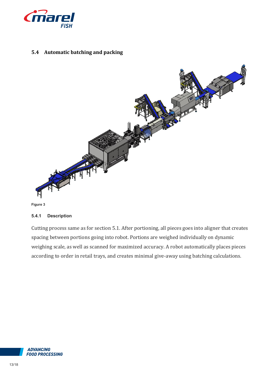

# **5.4 Automatic batching and packing**





#### **5.4.1 Description**

Cutting process same as for section 5.1. After portioning, all pieces goes into aligner that creates spacing between portions going into robot. Portions are weighed individually on dynamic weighing scale, as well as scanned for maximized accuracy. A robot automatically places pieces according to order in retail trays, and creates minimal give-away using batching calculations.

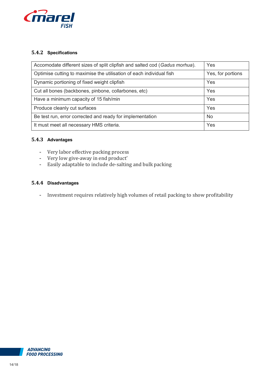

#### **5.4.2 Specifications**

| Accomodate different sizes of split clipfish and salted cod (Gadus morhua). | Yes               |
|-----------------------------------------------------------------------------|-------------------|
| Optimise cutting to maximise the utilisation of each individual fish        | Yes, for portions |
| Dynamic portioning of fixed weight clipfish                                 | Yes               |
| Cut all bones (backbones, pinbone, collarbones, etc)                        | Yes               |
| Have a minimum capacity of 15 fish/min                                      | Yes               |
| Produce cleanly cut surfaces                                                | Yes               |
| Be test run, error corrected and ready for implementation                   | <b>No</b>         |
| It must meet all necessary HMS criteria.                                    | Yes               |

#### **5.4.3 Advantages**

- Very labor effective packing process
- Very low give-away in end product'
- Easily adaptable to include de-salting and bulk packing

#### **5.4.4 Disadvantages**

- Investment requires relatively high volumes of retail packing to show profitability

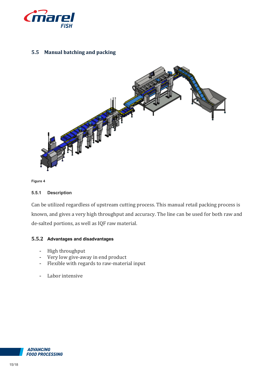

# **5.5 Manual batching and packing**



**Figure 4**

#### **5.5.1 Description**

Can be utilized regardless of upstream cutting process. This manual retail packing process is known, and gives a very high throughput and accuracy. The line can be used for both raw and de-salted portions, as well as IQF raw material.

#### **5.5.2 Advantages and disadvantages**

- High throughput
- Very low give-away in end product
- Flexible with regards to raw-material input
- Labor intensive

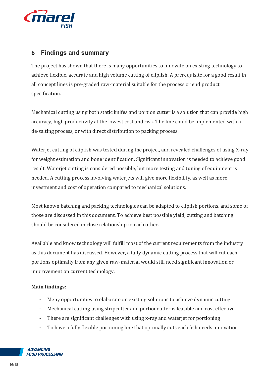

# **6 Findings and summary**

The project has shown that there is many opportunities to innovate on existing technology to achieve flexible, accurate and high volume cutting of clipfish. A prerequisite for a good result in all concept lines is pre-graded raw-material suitable for the process or end product specification.

Mechanical cutting using both static knifes and portion cutter is a solution that can provide high accuracy, high productivity at the lowest cost and risk. The line could be implemented with a de-salting process, or with direct distribution to packing process.

Waterjet cutting of clipfish was tested during the project, and revealed challenges of using X-ray for weight estimation and bone identification. Significant innovation is needed to achieve good result. Waterjet cutting is considered possible, but more testing and tuning of equipment is needed. A cutting process involving waterjets will give more flexibility, as well as more investment and cost of operation compared to mechanical solutions.

Most known batching and packing technologies can be adapted to clipfish portions, and some of those are discussed in this document. To achieve best possible yield, cutting and batching should be considered in close relationship to each other.

Available and know technology will fulfill most of the current requirements from the industry as this document has discussed. However, a fully dynamic cutting process that will cut each portions optimally from any given raw-material would still need significant innovation or improvement on current technology.

## **Main findings**:

- Meny opportunities to elaborate on existing solutions to achieve dynamic cutting
- Mechanical cutting using stripcutter and portioncutter is feasible and cost effective
- There are significant challenges with using x-ray and waterjet for portioning
- To have a fully flexible portioning line that optimally cuts each fish needs innovation